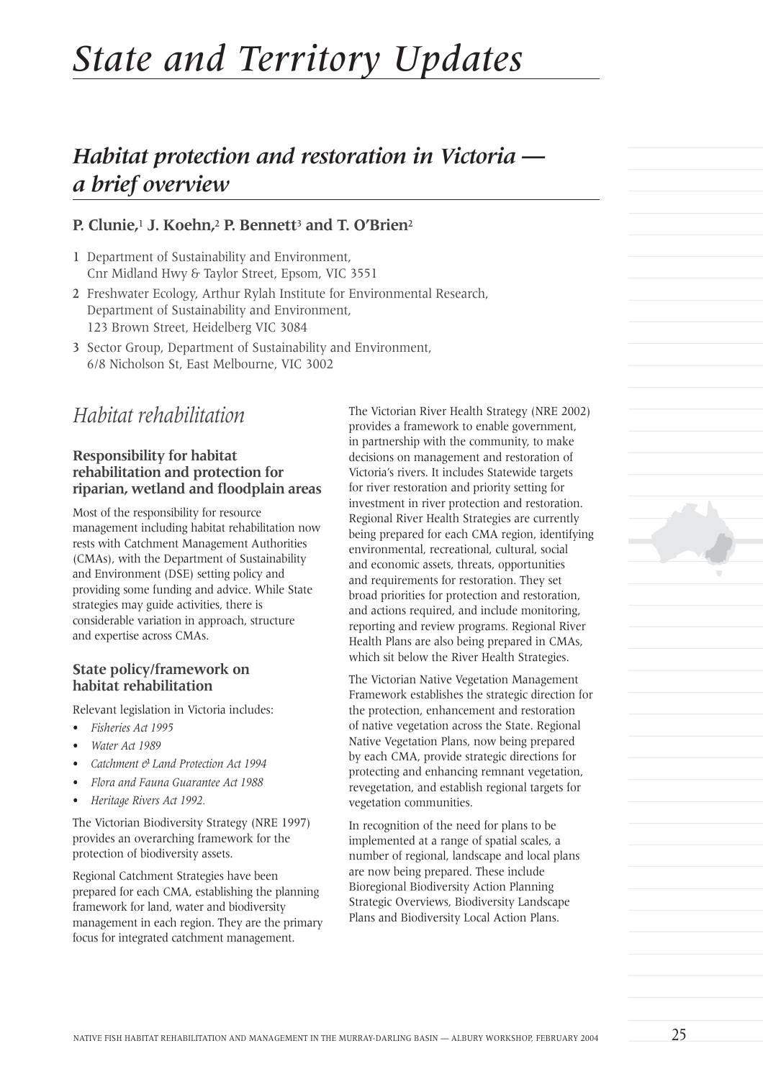# *State and Territory Updates*

# *Habitat protection and restoration in Victoria a brief overview*

#### **P. Clunie,**<sup>1</sup> **J. Koehn,**<sup>2</sup> **P. Bennett**<sup>3</sup> **and T. O'Brien**<sup>2</sup>

- 1 Department of Sustainability and Environment, Cnr Midland Hwy & Taylor Street, Epsom, VIC 3551
- 2 Freshwater Ecology, Arthur Rylah Institute for Environmental Research, Department of Sustainability and Environment, 123 Brown Street, Heidelberg VIC 3084
- 3 Sector Group, Department of Sustainability and Environment, 6/8 Nicholson St, East Melbourne, VIC 3002

## *Habitat rehabilitation*

#### **Responsibility for habitat rehabilitation and protection for riparian, wetland and floodplain areas**

Most of the responsibility for resource management including habitat rehabilitation now rests with Catchment Management Authorities (CMAs), with the Department of Sustainability and Environment (DSE) setting policy and providing some funding and advice. While State strategies may guide activities, there is considerable variation in approach, structure and expertise across CMAs.

#### **State policy/framework on habitat rehabilitation**

Relevant legislation in Victoria includes:

- *Fisheries Act 1995*
- *Water Act 1989*
- *Catchment & Land Protection Act 1994*
- *Flora and Fauna Guarantee Act 1988*
- *Heritage Rivers Act 1992.*

The Victorian Biodiversity Strategy (NRE 1997) provides an overarching framework for the protection of biodiversity assets.

Regional Catchment Strategies have been prepared for each CMA, establishing the planning framework for land, water and biodiversity management in each region. They are the primary focus for integrated catchment management.

The Victorian River Health Strategy (NRE 2002) provides a framework to enable government, in partnership with the community, to make decisions on management and restoration of Victoria's rivers. It includes Statewide targets for river restoration and priority setting for investment in river protection and restoration. Regional River Health Strategies are currently being prepared for each CMA region, identifying environmental, recreational, cultural, social and economic assets, threats, opportunities and requirements for restoration. They set broad priorities for protection and restoration, and actions required, and include monitoring, reporting and review programs. Regional River Health Plans are also being prepared in CMAs, which sit below the River Health Strategies.

The Victorian Native Vegetation Management Framework establishes the strategic direction for the protection, enhancement and restoration of native vegetation across the State. Regional Native Vegetation Plans, now being prepared by each CMA, provide strategic directions for protecting and enhancing remnant vegetation, revegetation, and establish regional targets for vegetation communities.

In recognition of the need for plans to be implemented at a range of spatial scales, a number of regional, landscape and local plans are now being prepared. These include Bioregional Biodiversity Action Planning Strategic Overviews, Biodiversity Landscape Plans and Biodiversity Local Action Plans.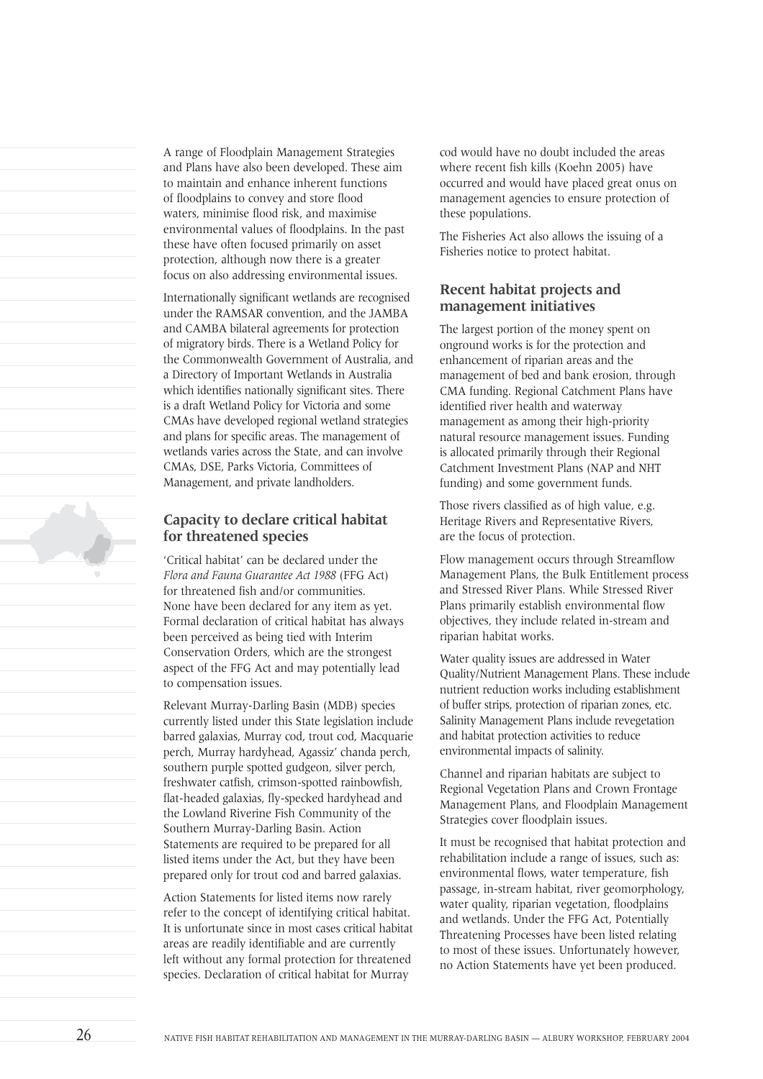A range of Floodplain Management Strategies and Plans have also been developed. These aim to maintain and enhance inherent functions of floodplains to convey and store flood waters, minimise flood risk, and maximise environmental values of floodplains. In the past these have often focused primarily on asset protection, although now there is a greater focus on also addressing environmental issues.

Internationally significant wetlands are recognised under the RAMSAR convention, and the JAMBA and CAMBA bilateral agreements for protection of migratory birds. There is a Wetland Policy for the Commonwealth Government of Australia, and a Directory of Important Wetlands in Australia which identifies nationally significant sites. There is a draft Wetland Policy for Victoria and some CMAs have developed regional wetland strategies and plans for specific areas. The management of wetlands varies across the State, and can involve CMAs, DSE, Parks Victoria, Committees of Management, and private landholders.

#### **Capacity to declare critical habitat for threatened species**

'Critical habitat' can be declared under the *Flora and Fauna Guarantee Act 1988* (FFG Act) for threatened fish and/or communities. None have been declared for any item as yet. Formal declaration of critical habitat has always been perceived as being tied with Interim Conservation Orders, which are the strongest aspect of the FFG Act and may potentially lead to compensation issues.

Relevant Murray-Darling Basin (MDB) species currently listed under this State legislation include barred galaxias, Murray cod, trout cod, Macquarie perch, Murray hardyhead, Agassiz' chanda perch, southern purple spotted gudgeon, silver perch, freshwater catfish, crimson-spotted rainbowfish, flat-headed galaxias, fly-specked hardyhead and the Lowland Riverine Fish Community of the Southern Murray-Darling Basin. Action Statements are required to be prepared for all listed items under the Act, but they have been prepared only for trout cod and barred galaxias.

Action Statements for listed items now rarely refer to the concept of identifying critical habitat. It is unfortunate since in most cases critical habitat areas are readily identifiable and are currently left without any formal protection for threatened species. Declaration of critical habitat for Murray

cod would have no doubt included the areas where recent fish kills (Koehn 2005) have occurred and would have placed great onus on management agencies to ensure protection of these populations.

The Fisheries Act also allows the issuing of a Fisheries notice to protect habitat.

#### **Recent habitat projects and management initiatives**

The largest portion of the money spent on onground works is for the protection and enhancement of riparian areas and the management of bed and bank erosion, through CMA funding. Regional Catchment Plans have identified river health and waterway management as among their high-priority natural resource management issues. Funding is allocated primarily through their Regional Catchment Investment Plans (NAP and NHT funding) and some government funds.

Those rivers classified as of high value, e.g. Heritage Rivers and Representative Rivers, are the focus of protection.

Flow management occurs through Streamflow Management Plans, the Bulk Entitlement process and Stressed River Plans. While Stressed River Plans primarily establish environmental flow objectives, they include related in-stream and riparian habitat works.

Water quality issues are addressed in Water Quality/Nutrient Management Plans. These include nutrient reduction works including establishment of buffer strips, protection of riparian zones, etc. Salinity Management Plans include revegetation and habitat protection activities to reduce environmental impacts of salinity.

Channel and riparian habitats are subject to Regional Vegetation Plans and Crown Frontage Management Plans, and Floodplain Management Strategies cover floodplain issues.

It must be recognised that habitat protection and rehabilitation include a range of issues, such as: environmental flows, water temperature, fish passage, in-stream habitat, river geomorphology, water quality, riparian vegetation, floodplains and wetlands. Under the FFG Act, Potentially Threatening Processes have been listed relating to most of these issues. Unfortunately however, no Action Statements have yet been produced.